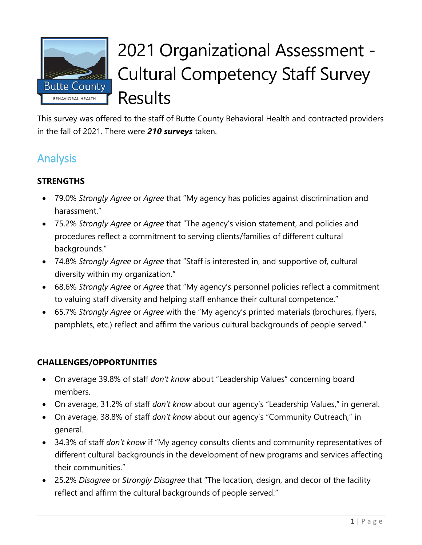

# 2021 Organizational Assessment - Cultural Competency Staff Survey **Results**

This survey was offered to the staff of Butte County Behavioral Health and contracted providers in the fall of 2021. There were *210 surveys* taken.

# Analysis

## **STRENGTHS**

- 79.0% *Strongly Agree* or *Agree* that "My agency has policies against discrimination and harassment."
- 75.2% *Strongly Agree* or *Agree* that "The agency's vision statement, and policies and procedures reflect a commitment to serving clients/families of different cultural backgrounds."
- 74.8% *Strongly Agree* or *Agree* that "Staff is interested in, and supportive of, cultural diversity within my organization."
- 68.6% *Strongly Agree* or *Agree* that "My agency's personnel policies reflect a commitment to valuing staff diversity and helping staff enhance their cultural competence."
- 65.7% *Strongly Agree* or *Agree* with the "My agency's printed materials (brochures, flyers, pamphlets, etc.) reflect and affirm the various cultural backgrounds of people served."

## **CHALLENGES/OPPORTUNITIES**

- On average 39.8% of staff *don't know* about "Leadership Values" concerning board members.
- On average, 31.2% of staff *don't know* about our agency's "Leadership Values," in general.
- On average, 38.8% of staff *don't know* about our agency's "Community Outreach," in general.
- 34.3% of staff *don't know* if "My agency consults clients and community representatives of different cultural backgrounds in the development of new programs and services affecting their communities."
- 25.2% *Disagree* or *Strongly Disagree* that "The location, design, and decor of the facility reflect and affirm the cultural backgrounds of people served."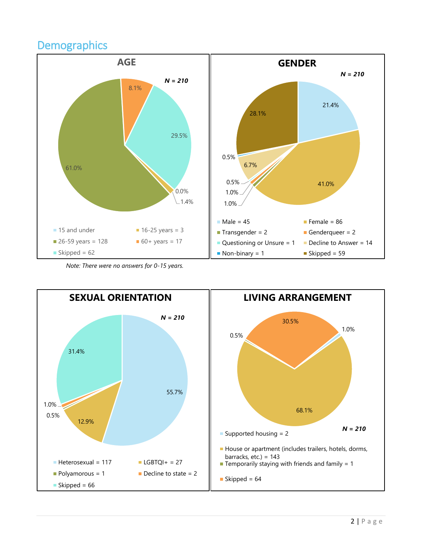## **Demographics**



*Note: There were no answers for 0-15 years.*

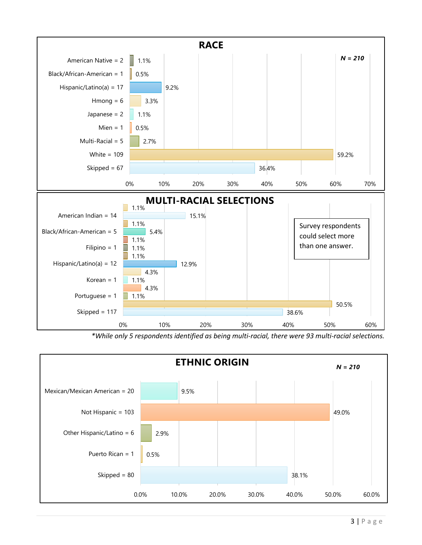

*\*While only 5 respondents identified as being multi-racial, there were 93 multi-racial selections.* 

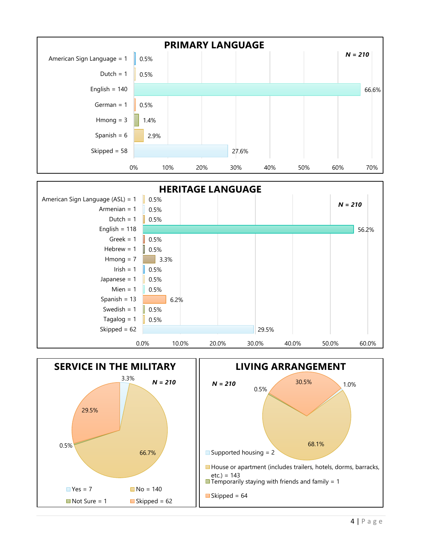



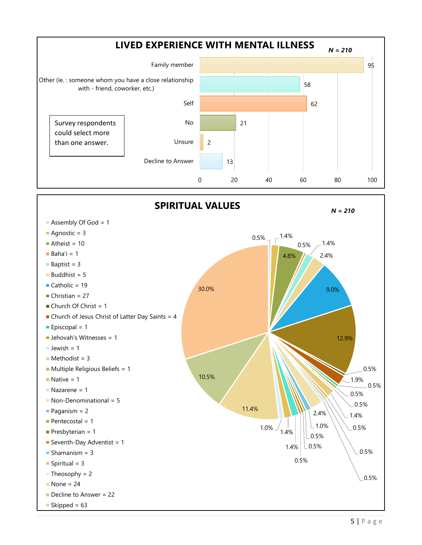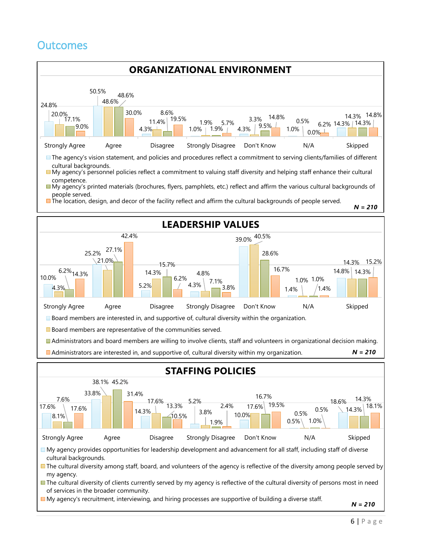# **Outcomes**



*N = 210*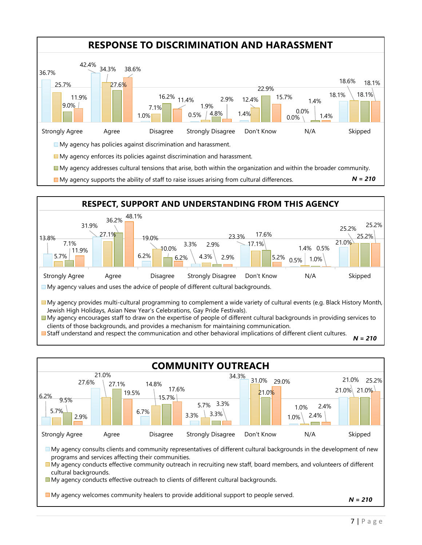



Staff understand and respect the communication and other behavioral implications of different client cultures.

6.2% 27.6%  $6.7\%$  | | 3.3% 34.3% 1.0% 21.0% 21.0% 5.7% 21.0% 14.8% 5.7% 3.3% 31.0% 29.0% 1.0% 21.0% 25.2% 9.5% 27.1% 15.7%  $|3.3%$ 21.0% 2.4% 2.9%  $19.5\%$  17.6% 2.4% Strongly Agree Agree Disagree Strongly Disagree Don't Know N/A Skipped **COMMUNITY OUTREACH** My agency consults clients and community representatives of different cultural backgrounds in the development of new programs and services affecting their communities. My agency conducts effective community outreach in recruiting new staff, board members, and volunteers of different cultural backgrounds. My agency conducts effective outreach to clients of different cultural backgrounds. My agency welcomes community healers to provide additional support to people served. *N = 210*

*N = 210*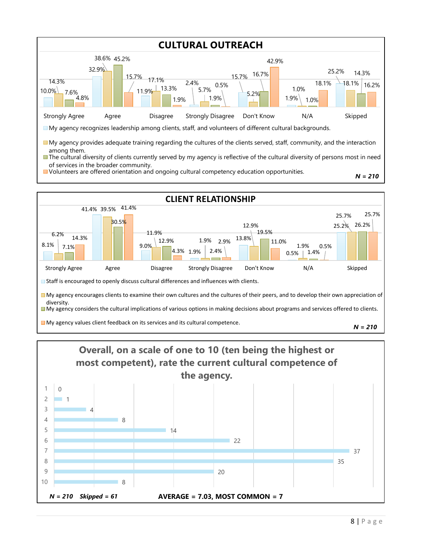



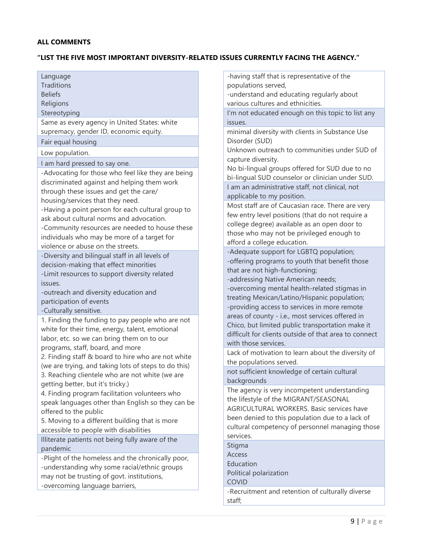#### **"LIST THE FIVE MOST IMPORTANT DIVERSITY-RELATED ISSUES CURRENTLY FACING THE AGENCY."**

| Language<br><b>Traditions</b><br><b>Beliefs</b><br>Religions | -having staff that is representative of the<br>populations served,<br>-understand and educating regularly about<br>various cultures and ethnicities. |
|--------------------------------------------------------------|------------------------------------------------------------------------------------------------------------------------------------------------------|
|                                                              |                                                                                                                                                      |
| Stereotyping                                                 | I'm not educated enough on this topic to list any                                                                                                    |
| Same as every agency in United States: white                 | issues.                                                                                                                                              |
| supremacy, gender ID, economic equity.                       | minimal diversity with clients in Substance Use                                                                                                      |
| Fair equal housing                                           | Disorder (SUD)                                                                                                                                       |
| Low population.                                              | Unknown outreach to communities under SUD of                                                                                                         |
| I am hard pressed to say one.                                | capture diversity.                                                                                                                                   |
| -Advocating for those who feel like they are being           | No bi-lingual groups offered for SUD due to no                                                                                                       |
| discriminated against and helping them work                  | bi-lingual SUD counselor or clinician under SUD.                                                                                                     |
| through these issues and get the care/                       | I am an administrative staff, not clinical, not                                                                                                      |
| housing/services that they need.                             | applicable to my position.                                                                                                                           |
| -Having a point person for each cultural group to            | Most staff are of Caucasian race. There are very                                                                                                     |
| ask about cultural norms and advocation.                     | few entry level positions (that do not require a                                                                                                     |
| -Community resources are needed to house these               | college degree) available as an open door to                                                                                                         |
| individuals who may be more of a target for                  | those who may not be privileged enough to                                                                                                            |
| violence or abuse on the streets.                            | afford a college education.                                                                                                                          |
| -Diversity and bilingual staff in all levels of              | -Adequate support for LGBTQ population;                                                                                                              |
| decision-making that effect minorities                       | -offering programs to youth that benefit those                                                                                                       |
| -Limit resources to support diversity related                | that are not high-functioning;                                                                                                                       |
| issues.                                                      | -addressing Native American needs;                                                                                                                   |
| -outreach and diversity education and                        | -overcoming mental health-related stigmas in                                                                                                         |
| participation of events                                      | treating Mexican/Latino/Hispanic population;                                                                                                         |
| -Culturally sensitive.                                       | -providing access to services in more remote                                                                                                         |
| 1. Finding the funding to pay people who are not             | areas of county - i.e., most services offered in                                                                                                     |
| white for their time, energy, talent, emotional              | Chico, but limited public transportation make it                                                                                                     |
| labor, etc. so we can bring them on to our                   | difficult for clients outside of that area to connect                                                                                                |
| programs, staff, board, and more                             | with those services.                                                                                                                                 |
| 2. Finding staff & board to hire who are not white           | Lack of motivation to learn about the diversity of                                                                                                   |
| (we are trying, and taking lots of steps to do this)         | the populations served.                                                                                                                              |
| 3. Reaching clientele who are not white (we are              | not sufficient knowledge of certain cultural                                                                                                         |
| getting better, but it's tricky.)                            | backgrounds                                                                                                                                          |
| 4. Finding program facilitation volunteers who               | The agency is very incompetent understanding                                                                                                         |
| speak languages other than English so they can be            | the lifestyle of the MIGRANT/SEASONAL                                                                                                                |
| offered to the public                                        | AGRICULTURAL WORKERS. Basic services have                                                                                                            |
| 5. Moving to a different building that is more               | been denied to this population due to a lack of                                                                                                      |
| accessible to people with disabilities                       | cultural competency of personnel managing those                                                                                                      |
| Illiterate patients not being fully aware of the             | services.                                                                                                                                            |
| pandemic                                                     | Stigma                                                                                                                                               |
| -Plight of the homeless and the chronically poor,            | <b>Access</b>                                                                                                                                        |
| -understanding why some racial/ethnic groups                 | Education                                                                                                                                            |
| may not be trusting of govt. institutions,                   | Political polarization                                                                                                                               |
| -overcoming language barriers,                               | COVID                                                                                                                                                |
|                                                              | -Recruitment and retention of culturally diverse                                                                                                     |
|                                                              | staff;                                                                                                                                               |
|                                                              |                                                                                                                                                      |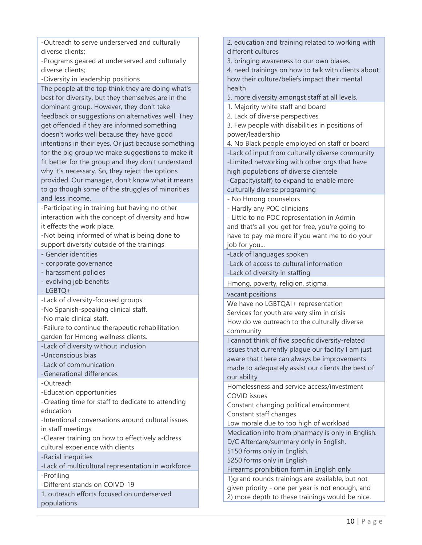-Outreach to serve underserved and culturally diverse clients;

-Programs geared at underserved and culturally diverse clients;

-Diversity in leadership positions

The people at the top think they are doing what's best for diversity, but they themselves are in the dominant group. However, they don't take feedback or suggestions on alternatives well. They get offended if they are informed something doesn't works well because they have good intentions in their eyes. Or just because something for the big group we make suggestions to make it fit better for the group and they don't understand why it's necessary. So, they reject the options provided. Our manager, don't know what it means to go though some of the struggles of minorities and less income.

-Participating in training but having no other interaction with the concept of diversity and how it effects the work place.

-Not being informed of what is being done to support diversity outside of the trainings

- Gender identities

- corporate governance

- harassment policies

- evolving job benefits

- LGBTQ+

-Lack of diversity-focused groups.

-No Spanish-speaking clinical staff.

-No male clinical staff.

-Failure to continue therapeutic rehabilitation garden for Hmong wellness clients.

-Lack of diversity without inclusion

-Unconscious bias

-Lack of communication

-Generational differences

-Outreach

-Education opportunities

-Creating time for staff to dedicate to attending education

-Intentional conversations around cultural issues in staff meetings

-Clearer training on how to effectively address cultural experience with clients

-Racial inequities

-Lack of multicultural representation in workforce -Profiling

-Different stands on COIVD-19

1. outreach efforts focused on underserved populations

2. education and training related to working with different cultures

3. bringing awareness to our own biases.

4. need trainings on how to talk with clients about how their culture/beliefs impact their mental health

5. more diversity amongst staff at all levels.

1. Majority white staff and board

2. Lack of diverse perspectives

3. Few people with disabilities in positions of power/leadership

4. No Black people employed on staff or board

-Lack of input from culturally diverse community -Limited networking with other orgs that have high populations of diverse clientele -Capacity(staff) to expand to enable more culturally diverse programing

- No Hmong counselors

- Hardly any POC clinicians

- Little to no POC representation in Admin and that's all you get for free, you're going to have to pay me more if you want me to do your job for you...

-Lack of languages spoken

-Lack of access to cultural information

-Lack of diversity in staffing

Hmong, poverty, religion, stigma,

vacant positions

We have no LGBTQAI+ representation Services for youth are very slim in crisis How do we outreach to the culturally diverse community

I cannot think of five specific diversity-related issues that currently plague our facility I am just aware that there can always be improvements made to adequately assist our clients the best of our ability

Homelessness and service access/investment COVID issues

Constant changing political environment Constant staff changes

Low morale due to too high of workload

Medication info from pharmacy is only in English.

D/C Aftercare/summary only in English.

5150 forms only in English.

5250 forms only in English

Firearms prohibition form in English only

1)grand rounds trainings are available, but not given priority - one per year is not enough, and 2) more depth to these trainings would be nice.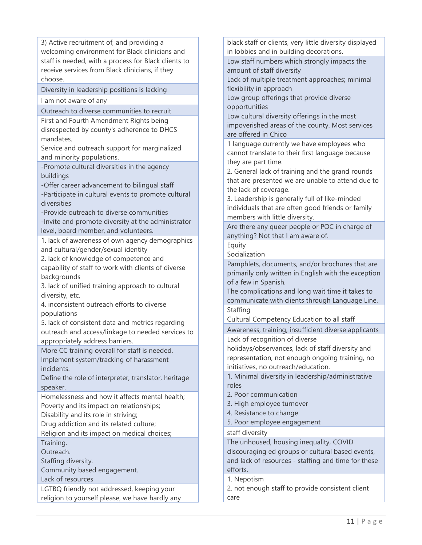3) Active recruitment of, and providing a welcoming environment for Black clinicians and staff is needed, with a process for Black clients to receive services from Black clinicians, if they choose.

Diversity in leadership positions is lacking

I am not aware of any

Outreach to diverse communities to recruit

First and Fourth Amendment Rights being disrespected by county's adherence to DHCS mandates.

Service and outreach support for marginalized and minority populations.

-Promote cultural diversities in the agency buildings

-Offer career advancement to bilingual staff

-Participate in cultural events to promote cultural diversities

-Provide outreach to diverse communities -Invite and promote diversity at the administrator level, board member, and volunteers.

1. lack of awareness of own agency demographics and cultural/gender/sexual identity

2. lack of knowledge of competence and

capability of staff to work with clients of diverse backgrounds

3. lack of unified training approach to cultural diversity, etc.

4. inconsistent outreach efforts to diverse populations

5. lack of consistent data and metrics regarding outreach and access/linkage to needed services to appropriately address barriers.

More CC training overall for staff is needed. Implement system/tracking of harassment incidents.

Define the role of interpreter, translator, heritage speaker.

Homelessness and how it affects mental health; Poverty and its impact on relationships;

Disability and its role in striving;

Drug addiction and its related culture;

Religion and its impact on medical choices;

Training.

Outreach.

Staffing diversity.

Community based engagement.

Lack of resources

LGTBQ friendly not addressed, keeping your religion to yourself please, we have hardly any

black staff or clients, very little diversity displayed in lobbies and in building decorations.

Low staff numbers which strongly impacts the amount of staff diversity

Lack of multiple treatment approaches; minimal flexibility in approach

Low group offerings that provide diverse opportunities

Low cultural diversity offerings in the most impoverished areas of the county. Most services are offered in Chico

1 language currently we have employees who cannot translate to their first language because they are part time.

2. General lack of training and the grand rounds that are presented we are unable to attend due to the lack of coverage.

3. Leadership is generally full of like-minded individuals that are often good friends or family members with little diversity.

Are there any queer people or POC in charge of anything? Not that I am aware of.

**Equity** 

Socialization

Pamphlets, documents, and/or brochures that are primarily only written in English with the exception of a few in Spanish.

The complications and long wait time it takes to communicate with clients through Language Line. Staffing

Cultural Competency Education to all staff

Awareness, training, insufficient diverse applicants Lack of recognition of diverse

holidays/observances, lack of staff diversity and representation, not enough ongoing training, no initiatives, no outreach/education.

1. Minimal diversity in leadership/administrative roles

- 2. Poor communication
- 3. High employee turnover
- 4. Resistance to change
- 5. Poor employee engagement

staff diversity

The unhoused, housing inequality, COVID discouraging ed groups or cultural based events, and lack of resources - staffing and time for these efforts.

1. Nepotism

2. not enough staff to provide consistent client care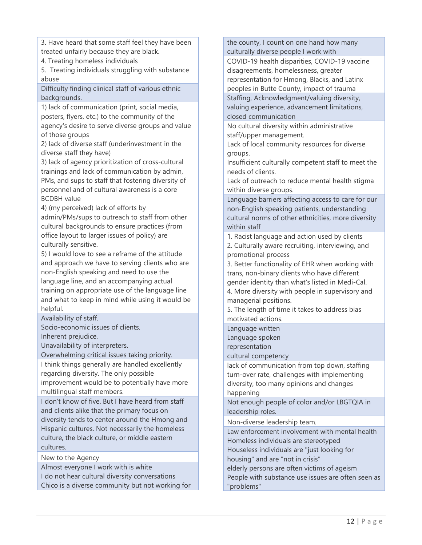3. Have heard that some staff feel they have been treated unfairly because they are black.

4. Treating homeless individuals

5. Treating individuals struggling with substance abuse

Difficulty finding clinical staff of various ethnic backgrounds.

1) lack of communication (print, social media, posters, flyers, etc.) to the community of the agency's desire to serve diverse groups and value of those groups

2) lack of diverse staff (underinvestment in the diverse staff they have)

3) lack of agency prioritization of cross-cultural trainings and lack of communication by admin, PMs, and sups to staff that fostering diversity of personnel and of cultural awareness is a core BCDBH value

4) (my perceived) lack of efforts by

admin/PMs/sups to outreach to staff from other cultural backgrounds to ensure practices (from office layout to larger issues of policy) are culturally sensitive.

5) I would love to see a reframe of the attitude and approach we have to serving clients who are non-English speaking and need to use the language line, and an accompanying actual training on appropriate use of the language line and what to keep in mind while using it would be helpful.

Availability of staff.

Socio-economic issues of clients. Inherent prejudice.

Unavailability of interpreters.

Overwhelming critical issues taking priority.

I think things generally are handled excellently regarding diversity. The only possible

improvement would be to potentially have more multilingual staff members.

I don't know of five. But I have heard from staff and clients alike that the primary focus on diversity tends to center around the Hmong and Hispanic cultures. Not necessarily the homeless culture, the black culture, or middle eastern cultures.

New to the Agency

Almost everyone I work with is white

I do not hear cultural diversity conversations Chico is a diverse community but not working for

the county, I count on one hand how many culturally diverse people I work with

COVID-19 health disparities, COVID-19 vaccine disagreements, homelessness, greater representation for Hmong, Blacks, and Latinx peoples in Butte County, impact of trauma

Staffing, Acknowledgment/valuing diversity, valuing experience, advancement limitations, closed communication

No cultural diversity within administrative staff/upper management.

Lack of local community resources for diverse groups.

Insufficient culturally competent staff to meet the needs of clients.

Lack of outreach to reduce mental health stigma within diverse groups.

Language barriers affecting access to care for our non-English speaking patients, understanding cultural norms of other ethnicities, more diversity within staff

1. Racist language and action used by clients

2. Culturally aware recruiting, interviewing, and promotional process

3. Better functionality of EHR when working with trans, non-binary clients who have different gender identity than what's listed in Medi-Cal.

4. More diversity with people in supervisory and managerial positions.

5. The length of time it takes to address bias motivated actions.

Language written Language spoken representation

cultural competency

lack of communication from top down, staffing turn-over rate, challenges with implementing diversity, too many opinions and changes happening

Not enough people of color and/or LBGTQIA in leadership roles.

Non-diverse leadership team.

Law enforcement involvement with mental health Homeless individuals are stereotyped Houseless individuals are "just looking for

housing" and are "not in crisis"

elderly persons are often victims of ageism

People with substance use issues are often seen as "problems"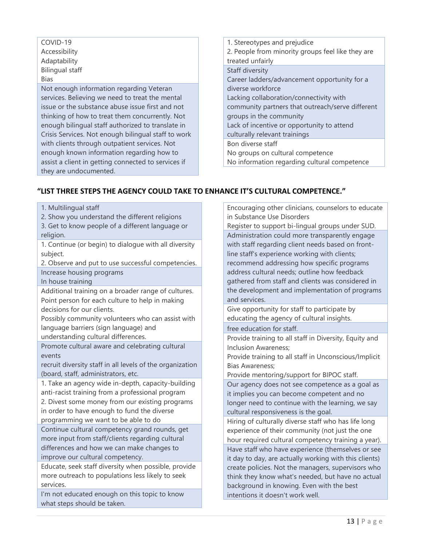#### COVID-19 Accessibility Adaptability Bilingual staff Bias Not enough information regarding Veteran services. Believing we need to treat the mental issue or the substance abuse issue first and not thinking of how to treat them concurrently. Not enough bilingual staff authorized to translate in Crisis Services. Not enough bilingual staff to work with clients through outpatient services. Not enough known information regarding how to assist a client in getting connected to services if they are undocumented.

| 1. Stereotypes and prejudice                      |
|---------------------------------------------------|
| 2. People from minority groups feel like they are |
| treated unfairly                                  |
| Staff diversity                                   |
| Career ladders/advancement opportunity for a      |
| diverse workforce                                 |
| Lacking collaboration/connectivity with           |
| community partners that outreach/serve different  |
| groups in the community                           |
| Lack of incentive or opportunity to attend        |
| culturally relevant trainings                     |
| Bon diverse staff                                 |
| No groups on cultural competence                  |
| No information regarding cultural competence      |

#### **"LIST THREE STEPS THE AGENCY COULD TAKE TO ENHANCE IT'S CULTURAL COMPETENCE."**

1. Multilingual staff

- 2. Show you understand the different religions
- 3. Get to know people of a different language or religion.

1. Continue (or begin) to dialogue with all diversity subject.

2. Observe and put to use successful competencies.

Increase housing programs

In house training

Additional training on a broader range of cultures. Point person for each culture to help in making decisions for our clients.

Possibly community volunteers who can assist with language barriers (sign language) and

understanding cultural differences.

Promote cultural aware and celebrating cultural events

recruit diversity staff in all levels of the organization (board, staff, administrators, etc.

1. Take an agency wide in-depth, capacity-building anti-racist training from a professional program

2. Divest some money from our existing programs in order to have enough to fund the diverse programming we want to be able to do

Continue cultural competency grand rounds, get more input from staff/clients regarding cultural differences and how we can make changes to improve our cultural competency.

Educate, seek staff diversity when possible, provide more outreach to populations less likely to seek services.

I'm not educated enough on this topic to know what steps should be taken.

Encouraging other clinicians, counselors to educate in Substance Use Disorders Register to support bi-lingual groups under SUD. Administration could more transparently engage with staff regarding client needs based on frontline staff's experience working with clients; recommend addressing how specific programs

address cultural needs; outline how feedback gathered from staff and clients was considered in the development and implementation of programs and services.

Give opportunity for staff to participate by educating the agency of cultural insights.

free education for staff.

Provide training to all staff in Diversity, Equity and Inclusion Awareness;

Provide training to all staff in Unconscious/Implicit Bias Awareness;

Provide mentoring/support for BIPOC staff.

Our agency does not see competence as a goal as it implies you can become competent and no longer need to continue with the learning, we say cultural responsiveness is the goal.

Hiring of culturally diverse staff who has life long experience of their community (not just the one hour required cultural competency training a year). Have staff who have experience (themselves or see it day to day, are actually working with this clients) create policies. Not the managers, supervisors who think they know what's needed, but have no actual background in knowing. Even with the best intentions it doesn't work well.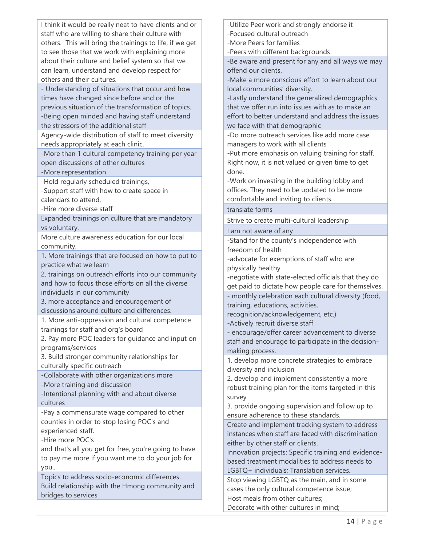I think it would be really neat to have clients and or staff who are willing to share their culture with others. This will bring the trainings to life, if we get to see those that we work with explaining more about their culture and belief system so that we can learn, understand and develop respect for others and their cultures.

- Understanding of situations that occur and how times have changed since before and or the previous situation of the transformation of topics. -Being open minded and having staff understand the stressors of the additional staff

Agency-wide distribution of staff to meet diversity needs appropriately at each clinic.

-More than 1 cultural competency training per year open discussions of other cultures

-More representation

-Hold regularly scheduled trainings,

-Support staff with how to create space in calendars to attend,

-Hire more diverse staff

Expanded trainings on culture that are mandatory vs voluntary.

More culture awareness education for our local community.

1. More trainings that are focused on how to put to practice what we learn

2. trainings on outreach efforts into our community and how to focus those efforts on all the diverse individuals in our community

3. more acceptance and encouragement of discussions around culture and differences.

1. More anti-oppression and cultural competence trainings for staff and org's board

2. Pay more POC leaders for guidance and input on programs/services

3. Build stronger community relationships for culturally specific outreach

-Collaborate with other organizations more

-More training and discussion

-Intentional planning with and about diverse cultures

-Pay a commensurate wage compared to other counties in order to stop losing POC's and experienced staff.

-Hire more POC's

and that's all you get for free, you're going to have to pay me more if you want me to do your job for you...

Topics to address socio-economic differences. Build relationship with the Hmong community and bridges to services

-Utilize Peer work and strongly endorse it

-Focused cultural outreach

-More Peers for families

-Peers with different backgrounds

-Be aware and present for any and all ways we may offend our clients.

-Make a more conscious effort to learn about our local communities' diversity.

-Lastly understand the generalized demographics that we offer run into issues with as to make an effort to better understand and address the issues we face with that demographic

-Do more outreach services like add more case managers to work with all clients

-Put more emphasis on valuing training for staff. Right now, it is not valued or given time to get done.

-Work on investing in the building lobby and offices. They need to be updated to be more comfortable and inviting to clients.

translate forms

Strive to create multi-cultural leadership

I am not aware of any

-Stand for the county's independence with freedom of health

-advocate for exemptions of staff who are physically healthy

-negotiate with state-elected officials that they do get paid to dictate how people care for themselves.

- monthly celebration each cultural diversity (food, training, educations, activities,

recognition/acknowledgement, etc.)

-Actively recruit diverse staff

- encourage/offer career advancement to diverse staff and encourage to participate in the decisionmaking process.

1. develop more concrete strategies to embrace diversity and inclusion

2. develop and implement consistently a more robust training plan for the items targeted in this survey

3. provide ongoing supervision and follow up to ensure adherence to these standards.

Create and implement tracking system to address instances when staff are faced with discrimination either by other staff or clients.

Innovation projects: Specific training and evidencebased treatment modalities to address needs to LGBTQ+ individuals; Translation services.

Stop viewing LGBTQ as the main, and in some cases the only cultural competence issue; Host meals from other cultures;

Decorate with other cultures in mind;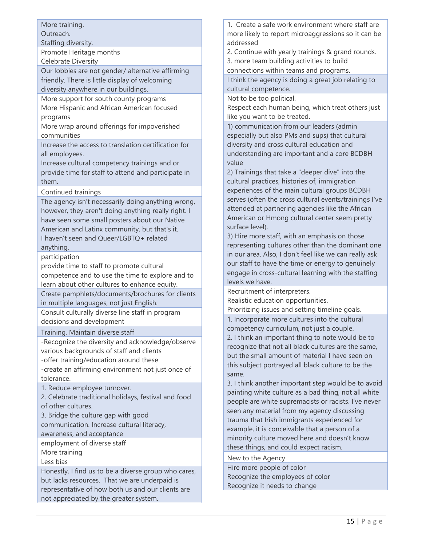More training.

Outreach.

Staffing diversity.

Promote Heritage months

Celebrate Diversity

Our lobbies are not gender/ alternative affirming friendly. There is little display of welcoming

diversity anywhere in our buildings.

More support for south county programs More Hispanic and African American focused programs

More wrap around offerings for impoverished communities

Increase the access to translation certification for all employees.

Increase cultural competency trainings and or provide time for staff to attend and participate in them.

Continued trainings

The agency isn't necessarily doing anything wrong, however, they aren't doing anything really right. I have seen some small posters about our Native American and Latinx community, but that's it. I haven't seen and Queer/LGBTQ+ related anything.

participation

provide time to staff to promote cultural competence and to use the time to explore and to learn about other cultures to enhance equity.

Create pamphlets/documents/brochures for clients in multiple languages, not just English.

Consult culturally diverse line staff in program decisions and development

Training, Maintain diverse staff

-Recognize the diversity and acknowledge/observe various backgrounds of staff and clients -offer training/education around these -create an affirming environment not just once of

tolerance.

1. Reduce employee turnover.

2. Celebrate traditional holidays, festival and food of other cultures.

3. Bridge the culture gap with good

communication. Increase cultural literacy,

awareness, and acceptance

employment of diverse staff More training

Less bias

Honestly, I find us to be a diverse group who cares, but lacks resources. That we are underpaid is representative of how both us and our clients are not appreciated by the greater system.

1. Create a safe work environment where staff are more likely to report microaggressions so it can be addressed

2. Continue with yearly trainings & grand rounds.

3. more team building activities to build

connections within teams and programs.

I think the agency is doing a great job relating to cultural competence.

Not to be too political.

Respect each human being, which treat others just like you want to be treated.

1) communication from our leaders (admin especially but also PMs and sups) that cultural diversity and cross cultural education and understanding are important and a core BCDBH value

2) Trainings that take a "deeper dive" into the cultural practices, histories of, immigration experiences of the main cultural groups BCDBH serves (often the cross cultural events/trainings I've attended at partnering agencies like the African American or Hmong cultural center seem pretty surface level).

3) Hire more staff, with an emphasis on those representing cultures other than the dominant one in our area. Also, I don't feel like we can really ask our staff to have the time or energy to genuinely engage in cross-cultural learning with the staffing levels we have.

Recruitment of interpreters.

Realistic education opportunities.

Prioritizing issues and setting timeline goals.

1. Incorporate more cultures into the cultural competency curriculum, not just a couple. 2. I think an important thing to note would be to recognize that not all black cultures are the same, but the small amount of material I have seen on this subject portrayed all black culture to be the same.

3. I think another important step would be to avoid painting white culture as a bad thing, not all white people are white supremacists or racists. I've never seen any material from my agency discussing trauma that Irish immigrants experienced for example, it is conceivable that a person of a minority culture moved here and doesn't know these things, and could expect racism.

New to the Agency

Hire more people of color Recognize the employees of color Recognize it needs to change